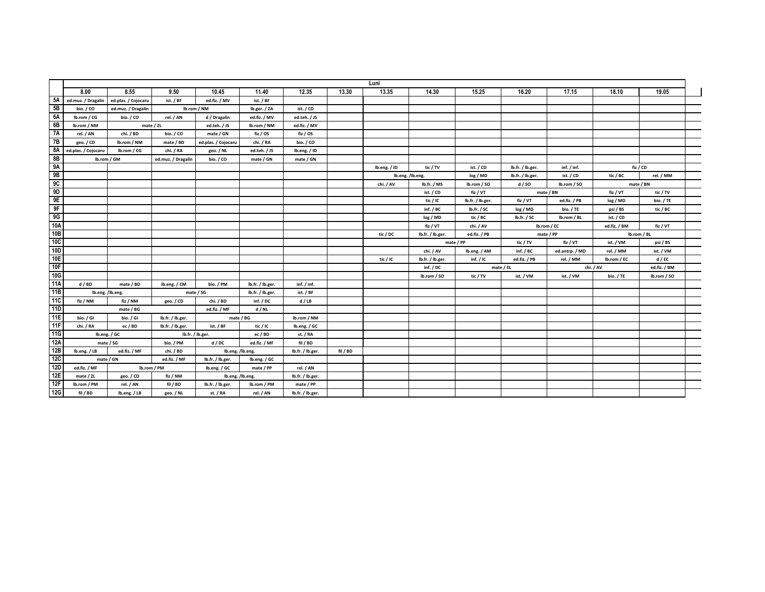|                 |                     |                     |                    |                     |                  |                  |          | Luni         |                  |                  |                  |                |              |              |  |
|-----------------|---------------------|---------------------|--------------------|---------------------|------------------|------------------|----------|--------------|------------------|------------------|------------------|----------------|--------------|--------------|--|
|                 | 8.00                | 8.55                | 9.50               | 10.45               | 11.40            | 12.35            | 13.30    | 13.35        | 14.30            | 15.25            | 16.20            | 17.15          | 18.10        | 19.05        |  |
| 5A              | ed.muz. / Dragalin  | ed.plas. / Cojocaru | ist. / BF          | ed.fiz. / MV        | ist. / BF        |                  |          |              |                  |                  |                  |                |              |              |  |
| 5B              | bio. / CO           | ed.muz. / Dragalin  |                    | lb.rom / NM         | lb.ger. / ZA     | ist. / CD        |          |              |                  |                  |                  |                |              |              |  |
| 6A              | Ib.rom / CG         | bio. / CO           | rel. / AN          | d / Dragalin        | ed.fiz. / MV     | ed.teh. / JS     |          |              |                  |                  |                  |                |              |              |  |
| 6B              | lb.rom / NM         | mate / ZL           |                    | ed.teh. / JS        | lb.rom / NM      | ed.fiz. / MV     |          |              |                  |                  |                  |                |              |              |  |
| 7A              | rel. / AN           | chi. / BD           | bio. / CO          | mate / GN           | fiz / OS         | fiz / OS         |          |              |                  |                  |                  |                |              |              |  |
| 7В              | geo. / CD           | Ib.rom / NM         | mate / BD          | ed.plas. / Cojocaru | chi. / RA        | bio. / CO        |          |              |                  |                  |                  |                |              |              |  |
| 8A              | ed.plas. / Cojocaru | lb.rom / CG         | chi. / RA          | geo. / NL           | ed.teh. / JS     | Ib.eng. / ID     |          |              |                  |                  |                  |                |              |              |  |
| 8B              |                     | lb.rom / GM         | ed.muz. / Dragalin | bio. / CO           | mate / GN        | mate / GN        |          |              |                  |                  |                  |                |              |              |  |
| <b>9A</b>       |                     |                     |                    |                     |                  |                  |          | lb.eng. / ID | tic / TV         | ist. / CD        | lb.fr. / lb.ger. | inf. / inf.    |              | fiz / CD     |  |
| 9B              |                     |                     |                    |                     |                  |                  |          |              | lb.eng. /lb.eng. | log / MD         | lb.fr. / lb.ger. | ist. / CD      | tic / BC     | rel. / MM    |  |
| 9C              |                     |                     |                    |                     |                  |                  |          | chi. / AV    | lb.fr. / MS      | lb.rom / SO      | d / SO           | lb.rom / SO    |              | mate / BN    |  |
| 9D              |                     |                     |                    |                     |                  |                  |          |              | ist. / CD        | fiz / VT         |                  | mate / BN      | fiz / VT     | tic / TV     |  |
| 9E              |                     |                     |                    |                     |                  |                  |          |              | tic / IC         | lb.fr. / lb.ger. | fiz / VT         | ed.fiz. / PB   | log / MD     | bio. / TE    |  |
| 9F              |                     |                     |                    |                     |                  |                  |          |              | inf. / BC        | lb.fr. / SC      | log / MD         | bio. / TE      | psi / BS     | tic / BC     |  |
| 9G              |                     |                     |                    |                     |                  |                  |          |              | log / MD         | tic / BC         | lb.fr. / SC      | lb.rom / BL    | ist. / CD    |              |  |
| 10A             |                     |                     |                    |                     |                  |                  |          |              | fiz / VT         | chi. / AV        |                  | Ib.rom / EC    | ed.fiz. / BM | fiz / VT     |  |
| 10B             |                     |                     |                    |                     |                  |                  |          | tic / DC     | lb.fr. / lb.ger. | ed.fiz. / PB     |                  | mate / PP      |              | lb.rom / BL  |  |
| 10C             |                     |                     |                    |                     |                  |                  |          |              |                  | mate / PP        | tic / TV         | fiz / VT       | ist. / VM    | psi / BS     |  |
| 10 <sub>D</sub> |                     |                     |                    |                     |                  |                  |          |              | chi. / AV        | lb.eng. / AM     | inf. / BC        | ed.antrp. / MD | rel. / MM    | ist. / VM    |  |
| 10E             |                     |                     |                    |                     |                  |                  |          | tic / IC     | lb.fr. / lb.ger. | inf. / IC        | ed.fiz. / PB     | rel. / MM      | lb.rom / EC  | $d$ / EC     |  |
| 10F             |                     |                     |                    |                     |                  |                  |          |              | inf. / DC        |                  | mate / EL        |                | chi. / AV    | ed.fiz. / BM |  |
| 10G             |                     |                     |                    |                     |                  |                  |          |              | lb.rom / SO      | tic / TV         | ist. / VM        | ist. / VM      | bio. / TE    | lb.rom / SO  |  |
| <b>11A</b>      | d / BD              | mate / BD           | lb.eng. / CM       | bio. / PM           | lb.fr. / lb.ger. | inf. / inf.      |          |              |                  |                  |                  |                |              |              |  |
| 11B             |                     | lb.eng. /lb.eng.    |                    | mate / SG           | lb.fr. / lb.ger. | ist. / BF        |          |              |                  |                  |                  |                |              |              |  |
| 11C             | fiz / NM            | fiz / NM            | geo. / CD          | chi. / BD           | inf. / DC        | d / LB           |          |              |                  |                  |                  |                |              |              |  |
| 11D             |                     | mate / BG           |                    | ed.fiz. / MF        | d / NL           |                  |          |              |                  |                  |                  |                |              |              |  |
| 11E             | bio. / Gl           | bio. / Gl           | lb.fr. / lb.ger.   | mate / BG           |                  | lb.rom / NM      |          |              |                  |                  |                  |                |              |              |  |
| 11F             | chi. / RA           | ec / BD             | lb.fr. / lb.ger.   | ist. / BF           | tic / IC         | lb.eng. / GC     |          |              |                  |                  |                  |                |              |              |  |
| 11G             |                     | lb.eng. / GC        |                    | lb.fr. / lb.ger.    | ec / BD          | st. / RA         |          |              |                  |                  |                  |                |              |              |  |
| 12A             |                     | mate / SG           | bio. / PM          | d/DC                | ed.fiz. / MF     | fil / BD         |          |              |                  |                  |                  |                |              |              |  |
| 12B             | lb.eng. / LB        | ed.fiz. / MF        | chi. / BD          | lb.eng. /lb.eng.    |                  | lb.fr. / lb.ger. | fil / BD |              |                  |                  |                  |                |              |              |  |
| 12C             |                     | mate / GN           | ed.fiz. / MF       | lb.fr. / lb.ger.    | lb.eng. / GC     |                  |          |              |                  |                  |                  |                |              |              |  |
| 12D             | ed.fiz. / MF        | lb.rom / PM         |                    | lb.eng. / GC        | mate / PP        | rel. / AN        |          |              |                  |                  |                  |                |              |              |  |
| 12E             | mate / ZL           | geo. / CD           | fiz / NM           | lb.eng. /lb.eng.    |                  | lb.fr. / lb.ger. |          |              |                  |                  |                  |                |              |              |  |
| 12F             | lb.rom / PM         | rel. / AN           | fil / BD           | lb.fr. / lb.ger.    | lb.rom / PM      | mate / PP        |          |              |                  |                  |                  |                |              |              |  |
| 12G             | fil / BD            | lb.eng. / LB        | geo. / NL          | st. / RA            | rel. / AN        | lb.fr. / lb.ger. |          |              |                  |                  |                  |                |              |              |  |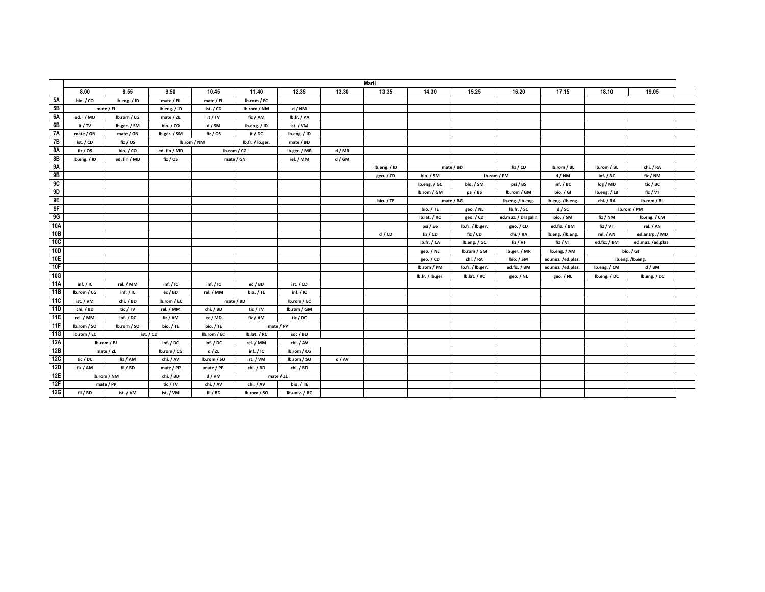| Marti           |              |                                        |              |             |                  |                |        |              |                  |                  |                    |                  |              |                  |  |
|-----------------|--------------|----------------------------------------|--------------|-------------|------------------|----------------|--------|--------------|------------------|------------------|--------------------|------------------|--------------|------------------|--|
|                 | 8.00         | 8.55                                   | 9.50         | 10.45       | 11.40            | 12.35          | 13.30  | 13.35        | 14.30            | 15.25            | 16.20              | 17.15            | 18.10        | 19.05            |  |
| 5A              | bio. / CO    | Ib.eng. / ID                           | mate / EL    | mate / EL   | Ib.rom / EC      |                |        |              |                  |                  |                    |                  |              |                  |  |
| 5B              |              | mate / EL<br>lb.eng. / ID<br>ist. / CD |              | lb.rom / NM | d / NM           |                |        |              |                  |                  |                    |                  |              |                  |  |
| 6A              | ed. i / MD   | lb.rom / CG                            | mate / ZL    | it / TV     | fiz / AM         | lb.fr. / PA    |        |              |                  |                  |                    |                  |              |                  |  |
| 6B              | it / TV      | lb.ger. / SM                           | bio. / CO    | d / SM      | lb.eng. / ID     | ist. / VM      |        |              |                  |                  |                    |                  |              |                  |  |
| 7A              | mate / GN    | mate / GN                              | lb.ger. / SM | fiz / OS    | it / DC          | lb.eng. / ID   |        |              |                  |                  |                    |                  |              |                  |  |
| 7B              | ist. / CD    | fiz / OS                               |              | lb.rom / NM | lb.fr. / lb.ger. | mate / BD      |        |              |                  |                  |                    |                  |              |                  |  |
| <b>8A</b>       | fiz / OS     | bio. / CO                              | ed. fin / MD |             | lb.rom / CG      | lb.ger. / MR   | d / MR |              |                  |                  |                    |                  |              |                  |  |
| 8B              | lb.eng. / ID | ed. fin / MD                           | fiz / OS     |             | mate / GN        | rel. / MM      | d / GM |              |                  |                  |                    |                  |              |                  |  |
| 9A              |              |                                        |              |             |                  |                |        | lb.eng. / ID |                  | mate / BD        | fiz / CD           | lb.rom / BL      | lb.rom / BL  | chi. / RA        |  |
| 9B              |              |                                        |              |             |                  |                |        | geo. / CD    | bio. / SM        |                  | lb.rom / PM        | d / NM           | inf. / BC    | fiz / NM         |  |
| 9C              |              |                                        |              |             |                  |                |        |              | lb.eng. / GC     | bio. / SM        | psi / BS           | inf. / BC        | log / MD     | tic / BC         |  |
| 9D              |              |                                        |              |             |                  |                |        |              | lb.rom / GM      | psi / BS         | lb.rom / GM        | bio. / Gl        | lb.eng. / LB | fiz / VT         |  |
| 9E              |              |                                        |              |             |                  |                |        | bio. / TE    |                  | mate / BG        | lb.eng. /lb.eng.   | lb.eng. /lb.eng. | chi. / RA    | lb.rom / BL      |  |
| 9F              |              |                                        |              |             |                  |                |        |              | bio. / TE        | geo. / NL        | lb.fr. / SC        | d / SC           |              | Ib.rom / PM      |  |
| 9G              |              |                                        |              |             |                  |                |        |              | Ib.lat. / RC     | geo. / CD        | ed.muz. / Dragalin | bio. / SM        | fiz / NM     | lb.eng. / CM     |  |
| 10A             |              |                                        |              |             |                  |                |        |              | psi / BS         | lb.fr. / lb.ger. | geo. / CD          | ed.fiz. / BM     | fiz / VT     | rel. / AN        |  |
| 10B             |              |                                        |              |             |                  |                |        | d / CD       | fiz / CD         | fiz / CD         | chi. / RA          | lb.eng. /lb.eng. | rel. / AN    | ed.antrp. / MD   |  |
| 10C             |              |                                        |              |             |                  |                |        |              | lb.fr. / CA      | lb.eng. / GC     | fiz / VT           | fiz / VT         | ed.fiz. / BM | ed.muz./ed.plas. |  |
| 10 <sub>D</sub> |              |                                        |              |             |                  |                |        |              | geo. / NL        | lb.rom / GM      | lb.ger. / MR       | lb.eng. / AM     |              | bio. / GI        |  |
| 10E             |              |                                        |              |             |                  |                |        |              | geo. / CD        | chi. / RA        | bio. / SM          | ed.muz./ed.plas. |              | lb.eng. /lb.eng. |  |
| 10F             |              |                                        |              |             |                  |                |        |              | lb.rom / PM      | lb.fr. / lb.ger. | ed.fiz. / BM       | ed.muz./ed.plas. | lb.eng. / CM | d / BM           |  |
| 10G             |              |                                        |              |             |                  |                |        |              | lb.fr. / lb.ger. | lb.lat. / RC     | geo. / NL          | geo. / NL        | lb.eng. / DC | lb.eng. / DC     |  |
| 11A             | inf. / IC    | rel. / MM                              | $inf.$ / IC  | inf. / IC   | ec / BD          | ist. / CD      |        |              |                  |                  |                    |                  |              |                  |  |
| 11B             | Ib.rom / CG  | inf. / IC                              | ec / BD      | rel. / MM   | bio. / TE        | $inf.$ / IC    |        |              |                  |                  |                    |                  |              |                  |  |
| 11C             | ist. / VM    | chi. / BD                              | lb.rom / EC  |             | mate / BD        | lb.rom / EC    |        |              |                  |                  |                    |                  |              |                  |  |
| 11D             | chi. / BD    | tic / TV                               | rel. / MM    | chi. / BD   | tic / TV         | lb.rom / GM    |        |              |                  |                  |                    |                  |              |                  |  |
| 11E             | rel. / MM    | inf. / DC                              | fiz / AM     | ec / MD     | fiz / AM         | tic / DC       |        |              |                  |                  |                    |                  |              |                  |  |
| 11F             | lb.rom / SO  | lb.rom / SO                            | bio. / TE    | bio. / TE   |                  | mate / PP      |        |              |                  |                  |                    |                  |              |                  |  |
| 11G             | lb.rom / EC  |                                        | ist. / CD    | lb.rom / EC | lb.lat. / RC     | soc / BD       |        |              |                  |                  |                    |                  |              |                  |  |
| 12A             |              | lb.rom / BL                            | inf. / DC    | inf. / DC   | rel. / MM        | chi. / AV      |        |              |                  |                  |                    |                  |              |                  |  |
| 12B             |              | mate / ZL                              | lb.rom / CG  | d / ZL      | $inf. /$ IC      | lb.rom / CG    |        |              |                  |                  |                    |                  |              |                  |  |
| 12C             | tic / DC     | fiz / AM                               | chi. / AV    | lb.rom / SO | ist. / VM        | lb.rom / SO    | d / AV |              |                  |                  |                    |                  |              |                  |  |
| 12D             | fiz / AM     | fil / BD                               | mate / PP    | mate / PP   | chi. / BD        | chi. / BD      |        |              |                  |                  |                    |                  |              |                  |  |
| 12E             |              | lb.rom / NM                            | chi. / BD    | d/VM        |                  | mate / ZL      |        |              |                  |                  |                    |                  |              |                  |  |
| 12F             |              | mate / PP                              | tic / TV     | chi. / AV   | chi. / AV        | bio. / TE      |        |              |                  |                  |                    |                  |              |                  |  |
| 12G             | fil / BD     | ist. / VM                              | ist. / VM    | fil / BD    | lb.rom / SO      | lit.univ. / RC |        |              |                  |                  |                    |                  |              |                  |  |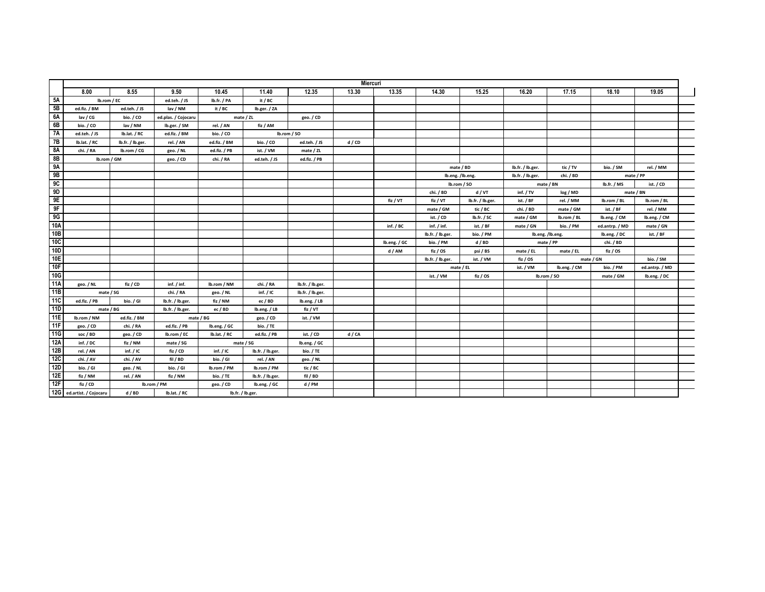|                 | Miercuri                                            |                  |                     |                  |                  |                  |        |              |                  |                  |                  |                  |                |                |  |
|-----------------|-----------------------------------------------------|------------------|---------------------|------------------|------------------|------------------|--------|--------------|------------------|------------------|------------------|------------------|----------------|----------------|--|
|                 | 8.00                                                | 8.55             | 9.50                | 10.45            | 11.40            | 12.35            | 13.30  | 13.35        | 14.30            | 15.25            | 16.20            | 17.15            | 18.10          | 19.05          |  |
| 5A              | Ib.rom / EC                                         |                  | ed.teh. / JS        | lb.fr. / PA      | it / BC          |                  |        |              |                  |                  |                  |                  |                |                |  |
| 5B              | ed.fiz. / BM                                        | ed.teh. / JS     | lav / NM            | it / BC          | lb.ger. / ZA     |                  |        |              |                  |                  |                  |                  |                |                |  |
| 6A              | lav / CG                                            | bio. / CO        | ed.plas. / Cojocaru |                  | mate / ZL        |                  |        |              |                  |                  |                  |                  |                |                |  |
| 6B              | bio. / CO                                           | lav / NM         | lb.ger. / SM        | rel. / AN        | fiz / AM         |                  |        |              |                  |                  |                  |                  |                |                |  |
| 7A              | ed.teh. / JS                                        | lb.lat. / RC     | ed.fiz. / BM        | bio. / CO        |                  | lb.rom / SO      |        |              |                  |                  |                  |                  |                |                |  |
| 7B              | Ib.lat. / RC                                        | lb.fr. / lb.ger. | rel. / AN           | ed.fiz. / BM     | bio. / CO        | ed.teh. / JS     | d / CD |              |                  |                  |                  |                  |                |                |  |
| 8A              | chi. / RA                                           | lb.rom / CG      | geo. / NL           | ed.fiz. / PB     | ist. / VM        | mate / ZL        |        |              |                  |                  |                  |                  |                |                |  |
| 8B              | Ib.rom / GM                                         |                  | geo. / CD           | chi. / RA        | ed.teh. / JS     | ed.fiz. / PB     |        |              |                  |                  |                  |                  |                |                |  |
| 9A              |                                                     |                  |                     |                  |                  |                  |        |              |                  | mate / BD        | Ib.fr. / Ib.ger. | tic / TV         | bio. / SM      | rel. / MM      |  |
| 9B              |                                                     |                  |                     |                  |                  |                  |        |              |                  | lb.eng. /lb.eng. | lb.fr. / lb.ger. | chi. / BD        |                | mate / PP      |  |
| 9C              |                                                     |                  |                     |                  |                  |                  |        |              |                  | lb.rom / SO      |                  | mate / BN        | lb.fr. / MS    | ist. / CD      |  |
| 9D              |                                                     |                  |                     |                  |                  |                  |        |              | chi. / BD        | d/VT             | inf. / TV        | log / MD         |                | mate / BN      |  |
| 9E              |                                                     |                  |                     |                  |                  |                  |        | fiz / VT     | fiz / VT         | lb.fr. / lb.ger. | ist. / BF        | rel. / MM        | lb.rom / BL    | lb.rom / BL    |  |
| 9F              |                                                     |                  |                     |                  |                  |                  |        |              | mate / GM        | tic / BC         | chi. / BD        | mate / GM        | ist. / BF      | rel. / MM      |  |
| 9G              |                                                     |                  |                     |                  |                  |                  |        |              | ist. / CD        | lb.fr. / SC      | mate / GM        | lb.rom / BL      | lb.eng. / CM   | lb.eng. / CM   |  |
| 10A             |                                                     |                  |                     |                  |                  |                  |        | inf. / BC    | inf. / inf.      | ist. / BF        | mate / GN        | bio. / PM        | ed.antrp. / MD | mate / GN      |  |
| 10B             |                                                     |                  |                     |                  |                  |                  |        |              | lb.fr. / lb.ger. | bio. / PM        |                  | lb.eng. /lb.eng. | lb.eng. / DC   | ist. / BF      |  |
| 10C             |                                                     |                  |                     |                  |                  |                  |        | lb.eng. / GC | bio. / PM        | d / BD           |                  | mate / PP        | chi. / BD      |                |  |
| 10 <sub>D</sub> |                                                     |                  |                     |                  |                  |                  |        | d / AM       | fiz / OS         | psi/BS           | mate / EL        | mate / EL        | fiz / OS       |                |  |
| 10E             |                                                     |                  |                     |                  |                  |                  |        |              | lb.fr. / lb.ger. | ist. / VM        | fiz / OS         |                  | mate / GN      | bio. / SM      |  |
| 10F             |                                                     |                  |                     |                  |                  |                  |        |              |                  | mate / EL        | ist. / VM        | lb.eng. / CM     | bio. / PM      | ed.antrp. / MD |  |
| <b>10G</b>      |                                                     |                  |                     |                  |                  |                  |        |              | ist. / VM        | fiz / OS         |                  | lb.rom / SO      | mate / GM      | lb.eng. / DC   |  |
| 11A             | geo. / NL                                           | fiz / CD         | inf. / inf.         | lb.rom / NM      | chi. / RA        | lb.fr. / lb.ger. |        |              |                  |                  |                  |                  |                |                |  |
| 11B             | mate / SG                                           |                  | chi. / RA           | geo. / NL        | $inf.$ / IC      | lb.fr. / lb.ger. |        |              |                  |                  |                  |                  |                |                |  |
| 11C             | ed.fiz. / PB                                        | bio. / GI        | lb.fr. / lb.ger.    | fiz / NM         | ec / BD          | lb.eng. / LB     |        |              |                  |                  |                  |                  |                |                |  |
| 11D             | mate / BG                                           |                  | lb.fr. / lb.ger.    | ec / BD          | lb.eng. / LB     | fiz / VT         |        |              |                  |                  |                  |                  |                |                |  |
| <b>11E</b>      | lb.rom / NM                                         | ed.fiz. / BM     |                     | mate / BG        | geo. / CD        | ist. / VM        |        |              |                  |                  |                  |                  |                |                |  |
| 11F             | geo. / CD                                           | chi. / RA        | ed.fiz. / PB        | lb.eng. / GC     | bio. / TE        |                  |        |              |                  |                  |                  |                  |                |                |  |
| 11G             | soc / BD                                            | geo. / CD        | lb.rom / EC         | Ib.lat. / RC     | ed.fiz. / PB     | ist. / CD        | d / CA |              |                  |                  |                  |                  |                |                |  |
| 12A             | inf. / DC                                           | fiz / NM         | mate / SG           |                  | mate / SG        | lb.eng. / GC     |        |              |                  |                  |                  |                  |                |                |  |
| 12B             | rel. / AN                                           | $inf.$ / IC      | fiz / CD            | $inf.$ / IC      | lb.fr. / lb.ger. | bio. / TE        |        |              |                  |                  |                  |                  |                |                |  |
| 12C             | chi. / AV                                           | chi. / AV        | fil / BD            | bio. / GI        | rel. / AN        | geo. / NL        |        |              |                  |                  |                  |                  |                |                |  |
| <b>12D</b>      | bio. / GI                                           | geo. / NL        | bio. / GI           | lb.rom / PM      | Ib.rom / PM      | tic / BC         |        |              |                  |                  |                  |                  |                |                |  |
| 12E             | fiz / NM                                            | rel. / AN        | fiz / NM            | bio. / TE        | lb.fr. / lb.ger. | fil / BD         |        |              |                  |                  |                  |                  |                |                |  |
| 12F             | fiz / CD                                            |                  | lb.rom / PM         | geo. / CD        | lb.eng. / GC     | d/PM             |        |              |                  |                  |                  |                  |                |                |  |
|                 | 12G ed.artist. / Cojocaru<br>d / BD<br>Ib.lat. / RC |                  |                     | lb.fr. / lb.ger. |                  |                  |        |              |                  |                  |                  |                  |                |                |  |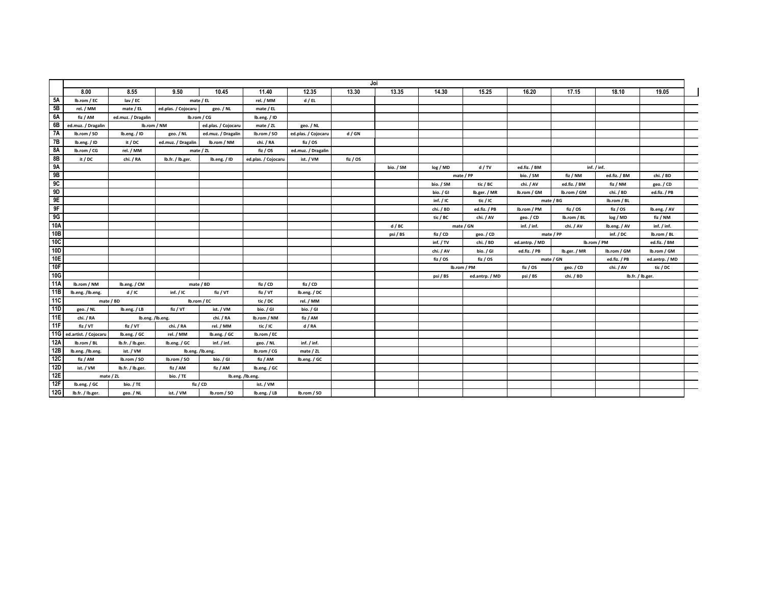|                 |                       |                    |                     |                     |                     |                     | Joi      |           |             |                |                |              |              |                  |  |
|-----------------|-----------------------|--------------------|---------------------|---------------------|---------------------|---------------------|----------|-----------|-------------|----------------|----------------|--------------|--------------|------------------|--|
|                 | 8.00                  | 8.55               | 9.50                | 10.45               | 11.40               | 12.35               | 13.30    | 13.35     | 14.30       | 15.25          | 16.20          | 17.15        | 18.10        | 19.05            |  |
| 5A              | lb.rom / EC           | lav / EC           |                     | mate / EL           | rel. / MM           | $d$ / EL            |          |           |             |                |                |              |              |                  |  |
| 5B              | rel. / MM             | mate / EL          | ed.plas. / Cojocaru | geo. / NL           | mate / EL           |                     |          |           |             |                |                |              |              |                  |  |
| 6A              | fiz / AM              | ed.muz. / Dragalin |                     | lb.rom / CG         | lb.eng. / ID        |                     |          |           |             |                |                |              |              |                  |  |
| 6B              | ed.muz. / Dragalin    | lb.rom / NM        |                     | ed.plas. / Cojocaru | mate / ZL           | geo. / NL           |          |           |             |                |                |              |              |                  |  |
| 7A              | lb.rom / SO           | lb.eng. / ID       | geo. / NL           | ed.muz. / Dragalin  | lb.rom / SO         | ed.plas. / Cojocaru | d / GN   |           |             |                |                |              |              |                  |  |
| 7B              | lb.eng. / ID          | it / DC            | ed.muz. / Dragalin  | lb.rom / NM         | chi. / RA           | fiz / OS            |          |           |             |                |                |              |              |                  |  |
| 8Α              | lb.rom / CG           | rel. / MM          |                     | mate / ZL           | fiz / OS            | ed.muz. / Dragalin  |          |           |             |                |                |              |              |                  |  |
| 8B              | it / DC               | chi. / RA          | lb.fr. / lb.ger.    | Ib.eng. / ID        | ed.plas. / Cojocaru | ist. / VM           | fiz / OS |           |             |                |                |              |              |                  |  |
| 9A              |                       |                    |                     |                     |                     |                     |          | bio. / SM | log / MD    | d/TV           | ed.fiz. / BM   |              | inf. / inf.  |                  |  |
| 9B              |                       |                    |                     |                     |                     |                     |          |           |             | mate / PP      | bio. / SM      | fiz / NM     | ed.fiz. / BM | chi. / BD        |  |
| 9C              |                       |                    |                     |                     |                     |                     |          |           | bio. / SM   | tic / BC       | chi. / AV      | ed.fiz. / BM | fiz / NM     | geo. / CD        |  |
| 9D              |                       |                    |                     |                     |                     |                     |          |           | bio. / Gl   | lb.ger. / MR   | lb.rom / GM    | lb.rom / GM  | chi. / BD    | ed.fiz. / PB     |  |
| 9E              |                       |                    |                     |                     |                     |                     |          |           | $inf. /$ IC | tic / IC       |                | mate / BG    | Ib.rom / BL  |                  |  |
| 9F              |                       |                    |                     |                     |                     |                     |          |           | chi. / BD   | ed.fiz. / PB   | lb.rom / PM    | fiz / OS     | fiz / OS     | lb.eng. / AV     |  |
| 9G              |                       |                    |                     |                     |                     |                     |          |           | tic / BC    | chi. / AV      | geo. / CD      | lb.rom / BL  | log / MD     | fiz / NM         |  |
| 10A             |                       |                    |                     |                     |                     |                     |          | $d$ / BC  |             | mate / GN      | inf. / inf.    | chi. / AV    | lb.eng. / AV | inf. / inf.      |  |
| 10B             |                       |                    |                     |                     |                     |                     |          | psi / BS  | fiz / CD    | geo. / CD      |                | mate / PP    | inf. / DC    | lb.rom / BL      |  |
| 10C             |                       |                    |                     |                     |                     |                     |          |           | inf. / TV   | chi. / BD      | ed.antrp. / MD |              | lb.rom / PM  | ed.fiz. / BM     |  |
| 10 <sub>D</sub> |                       |                    |                     |                     |                     |                     |          |           | chi. / AV   | bio. / Gl      | ed.fiz. / PB   | lb.ger. / MR | Ib.rom / GM  | lb.rom / GM      |  |
| 10E             |                       |                    |                     |                     |                     |                     |          |           | fiz / OS    | fiz / OS       |                | mate / GN    | ed.fiz. / PB | ed.antrp. / MD   |  |
| 10F             |                       |                    |                     |                     |                     |                     |          |           |             | lb.rom / PM    | fiz / OS       | geo. / CD    | chi. / AV    | tic / DC         |  |
| <b>10G</b>      |                       |                    |                     |                     |                     |                     |          |           | psi / BS    | ed.antrp. / MD | psi / BS       | chi. / BD    |              | lb.fr. / lb.ger. |  |
| 11A             | lb.rom / NM           | Ib.eng. / CM       |                     | mate / BD           | fiz / CD            | fiz / CD            |          |           |             |                |                |              |              |                  |  |
| 11B             | lb.eng. /lb.eng.      | d / IC             | inf. / IC           | fiz / VT            | fiz / VT            | Ib.eng. / DC        |          |           |             |                |                |              |              |                  |  |
| 11C             |                       | mate / BD          |                     | lb.rom / EC         | tic / DC            | rel. / MM           |          |           |             |                |                |              |              |                  |  |
| 11D             | geo. / NL             | lb.eng. / LB       | fiz / VT            | ist. / VM           | bio. / Gl           | bio. / Gl           |          |           |             |                |                |              |              |                  |  |
| <b>11E</b>      | chi. / RA             | lb.eng. /lb.eng.   |                     | chi. / RA           | lb.rom / NM         | fiz / AM            |          |           |             |                |                |              |              |                  |  |
| 11F             | fiz / VT              | fiz / VT           | chi. / RA           | rel. / MM           | tic / IC            | d / RA              |          |           |             |                |                |              |              |                  |  |
| 11G             | ed.artist. / Cojocaru | lb.eng. / GC       | rel. / MM           | lb.eng. / GC        | lb.rom / EC         |                     |          |           |             |                |                |              |              |                  |  |
| 12A             | lb.rom / BL           | lb.fr. / lb.ger.   | lb.eng. / GC        | inf. / inf.         | geo. / NL           | inf. / inf.         |          |           |             |                |                |              |              |                  |  |
| 12B             | lb.eng. /lb.eng.      | ist. / VM          |                     | lb.eng. /lb.eng.    | lb.rom / CG         | mate / ZL           |          |           |             |                |                |              |              |                  |  |
| <b>12C</b>      | fiz / AM              | lb.rom / SO        | lb.rom / SO         | bio. / GI           | fiz / AM            | lb.eng. / GC        |          |           |             |                |                |              |              |                  |  |
| <b>12D</b>      | ist. / VM             | lb.fr. / lb.ger.   | fiz / AM            | fiz / AM            | lb.eng. / GC        |                     |          |           |             |                |                |              |              |                  |  |
| 12E             |                       | mate / ZL          | bio. / TE           |                     | lb.eng. /lb.eng.    |                     |          |           |             |                |                |              |              |                  |  |
| 12F             | lb.eng. / GC          | bio. / TE          |                     | fiz / CD            | ist. / VM           |                     |          |           |             |                |                |              |              |                  |  |
| 12G             | Ib.fr. / Ib.ger.      | geo. / NL          | ist. / VM           | lb.rom / SO         | Ib.eng. / LB        | lb.rom / SO         |          |           |             |                |                |              |              |                  |  |